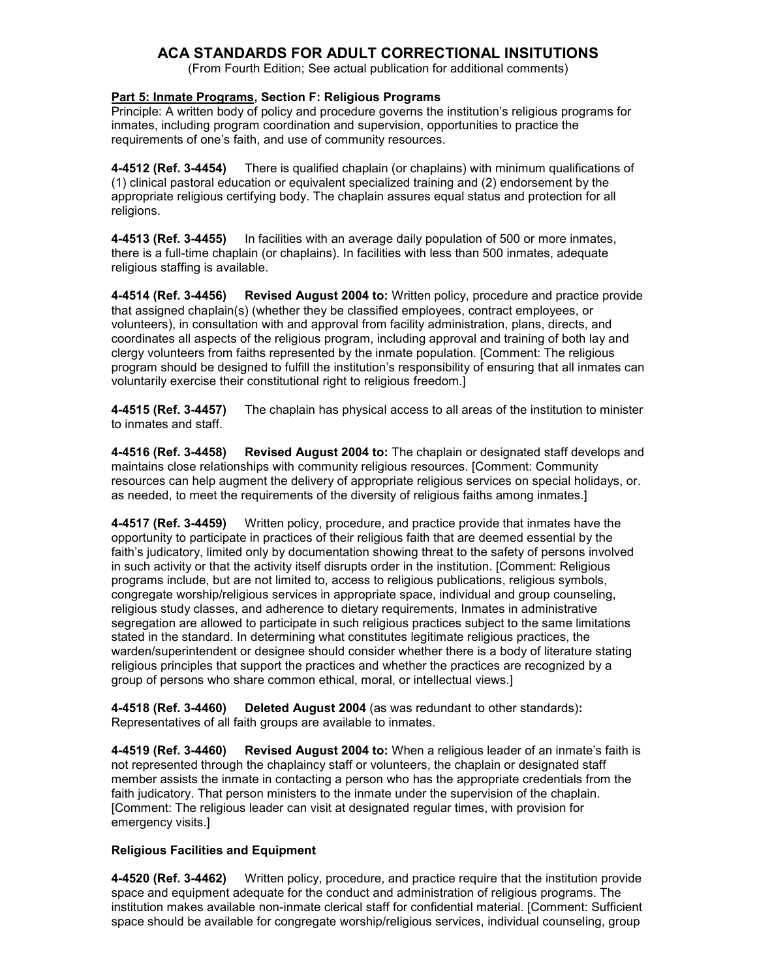# **ACA STANDARDS FOR ADULT CORRECTIONAL INSITUTIONS**

(From Fourth Edition; See actual publication for additional comments)

## **Part 5: Inmate Programs, Section F: Religious Programs**

Principle: A written body of policy and procedure governs the institution's religious programs for inmates, including program coordination and supervision, opportunities to practice the requirements of one's faith, and use of community resources.

**4-4512 (Ref. 3-4454)** There is qualified chaplain (or chaplains) with minimum qualifications of (1) clinical pastoral education or equivalent specialized training and (2) endorsement by the appropriate religious certifying body. The chaplain assures equal status and protection for all religions.

**4-4513 (Ref. 3-4455)** In facilities with an average daily population of 500 or more inmates, there is a full-time chaplain (or chaplains). In facilities with less than 500 inmates, adequate religious staffing is available.

**4-4514 (Ref. 3-4456) Revised August 2004 to:** Written policy, procedure and practice provide that assigned chaplain(s) (whether they be classified employees, contract employees, or volunteers), in consultation with and approval from facility administration, plans, directs, and coordinates all aspects of the religious program, including approval and training of both lay and clergy volunteers from faiths represented by the inmate population. [Comment: The religious program should be designed to fulfill the institution's responsibility of ensuring that all inmates can voluntarily exercise their constitutional right to religious freedom.]

**4-4515 (Ref. 3-4457)** The chaplain has physical access to all areas of the institution to minister to inmates and staff.

**4-4516 (Ref. 3-4458) Revised August 2004 to:** The chaplain or designated staff develops and maintains close relationships with community religious resources. [Comment: Community resources can help augment the delivery of appropriate religious services on special holidays, or. as needed, to meet the requirements of the diversity of religious faiths among inmates.]

**4-4517 (Ref. 3-4459)** Written policy, procedure, and practice provide that inmates have the opportunity to participate in practices of their religious faith that are deemed essential by the faith's judicatory, limited only by documentation showing threat to the safety of persons involved in such activity or that the activity itself disrupts order in the institution. [Comment: Religious programs include, but are not limited to, access to religious publications, religious symbols, congregate worship/religious services in appropriate space, individual and group counseling, religious study classes, and adherence to dietary requirements, Inmates in administrative segregation are allowed to participate in such religious practices subject to the same limitations stated in the standard. In determining what constitutes legitimate religious practices, the warden/superintendent or designee should consider whether there is a body of literature stating religious principles that support the practices and whether the practices are recognized by a group of persons who share common ethical, moral, or intellectual views.]

**4-4518 (Ref. 3-4460) Deleted August 2004** (as was redundant to other standards)**:**  Representatives of all faith groups are available to inmates.

**4-4519 (Ref. 3-4460) Revised August 2004 to:** When a religious leader of an inmate's faith is not represented through the chaplaincy staff or volunteers, the chaplain or designated staff member assists the inmate in contacting a person who has the appropriate credentials from the faith judicatory. That person ministers to the inmate under the supervision of the chaplain. [Comment: The religious leader can visit at designated regular times, with provision for emergency visits.]

## **Religious Facilities and Equipment**

**4-4520 (Ref. 3-4462)** Written policy, procedure, and practice require that the institution provide space and equipment adequate for the conduct and administration of religious programs. The institution makes available non-inmate clerical staff for confidential material. [Comment: Sufficient space should be available for congregate worship/religious services, individual counseling, group